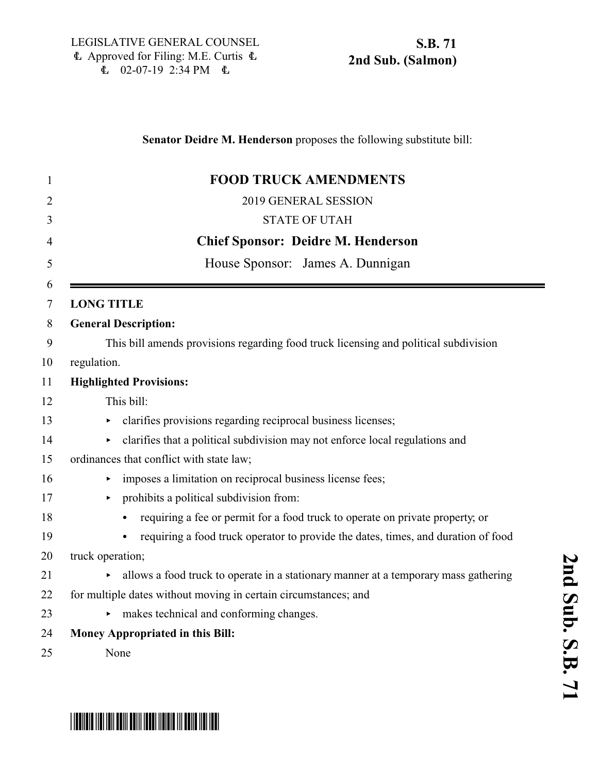| 1              | <b>FOOD TRUCK AMENDMENTS</b>                                                         |
|----------------|--------------------------------------------------------------------------------------|
| $\overline{2}$ | 2019 GENERAL SESSION                                                                 |
| 3              | <b>STATE OF UTAH</b>                                                                 |
| 4              | <b>Chief Sponsor: Deidre M. Henderson</b>                                            |
| 5              | House Sponsor: James A. Dunnigan                                                     |
| 6<br>7         | <b>LONG TITLE</b>                                                                    |
| 8              | <b>General Description:</b>                                                          |
| 9              | This bill amends provisions regarding food truck licensing and political subdivision |
| 10             | regulation.                                                                          |
| 11             | <b>Highlighted Provisions:</b>                                                       |
| 12             | This bill:                                                                           |
| 13             | clarifies provisions regarding reciprocal business licenses;<br>٠                    |
| 14             | clarifies that a political subdivision may not enforce local regulations and         |
| 15             | ordinances that conflict with state law;                                             |
| 16             | imposes a limitation on reciprocal business license fees;                            |
| 17             | prohibits a political subdivision from:                                              |
| 18             | requiring a fee or permit for a food truck to operate on private property, or        |
| 19             | requiring a food truck operator to provide the dates, times, and duration of food    |
| 20             | truck operation;                                                                     |
| 21             | allows a food truck to operate in a stationary manner at a temporary mass gathering  |
| 22             | for multiple dates without moving in certain circumstances; and                      |
| 23             | makes technical and conforming changes.                                              |
| 24             | Money Appropriated in this Bill:                                                     |
| 25             | None                                                                                 |



**2**

# \*SB0071S02\*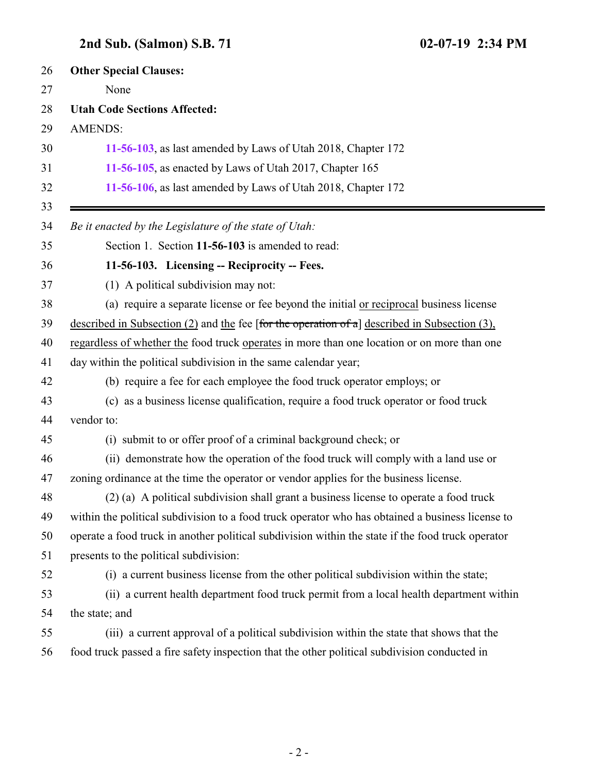## <span id="page-1-0"></span>**2nd Sub. (Salmon) S.B. 71 02-07-19 2:34 PM**

| 26       | <b>Other Special Clauses:</b>                                                                     |
|----------|---------------------------------------------------------------------------------------------------|
| 27       | None                                                                                              |
| 28       | <b>Utah Code Sections Affected:</b>                                                               |
| 29       | <b>AMENDS:</b>                                                                                    |
| 30       | 11-56-103, as last amended by Laws of Utah 2018, Chapter 172                                      |
| 31       | 11-56-105, as enacted by Laws of Utah 2017, Chapter 165                                           |
| 32<br>33 | 11-56-106, as last amended by Laws of Utah 2018, Chapter 172                                      |
| 34       | Be it enacted by the Legislature of the state of Utah:                                            |
| 35       | Section 1. Section 11-56-103 is amended to read:                                                  |
| 36       | 11-56-103. Licensing -- Reciprocity -- Fees.                                                      |
| 37       | (1) A political subdivision may not:                                                              |
| 38       | (a) require a separate license or fee beyond the initial or reciprocal business license           |
| 39       | described in Subsection (2) and the fee [for the operation of a] described in Subsection (3),     |
| 40       | regardless of whether the food truck operates in more than one location or on more than one       |
| 41       | day within the political subdivision in the same calendar year;                                   |
| 42       | (b) require a fee for each employee the food truck operator employs; or                           |
| 43       | (c) as a business license qualification, require a food truck operator or food truck              |
| 44       | vendor to:                                                                                        |
| 45       | (i) submit to or offer proof of a criminal background check; or                                   |
| 46       | (ii) demonstrate how the operation of the food truck will comply with a land use or               |
| 47       | zoning ordinance at the time the operator or vendor applies for the business license.             |
| 48       | (2) (a) A political subdivision shall grant a business license to operate a food truck            |
| 49       | within the political subdivision to a food truck operator who has obtained a business license to  |
| 50       | operate a food truck in another political subdivision within the state if the food truck operator |
| 51       | presents to the political subdivision:                                                            |
| 52       | (i) a current business license from the other political subdivision within the state;             |
| 53       | (ii) a current health department food truck permit from a local health department within          |
| 54       | the state; and                                                                                    |
| 55       | (iii) a current approval of a political subdivision within the state that shows that the          |
| 56       | food truck passed a fire safety inspection that the other political subdivision conducted in      |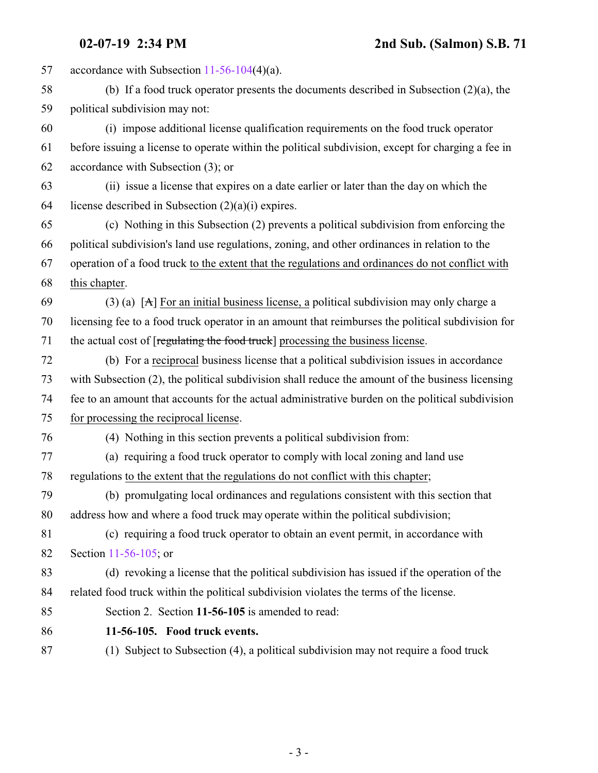accordance with Subsection [11-56-104](http://le.utah.gov/UtahCode/SectionLookup.jsp?section=11-56-104&session=2019GS)(4)(a). (b) If a food truck operator presents the documents described in Subsection (2)(a), the political subdivision may not: (i) impose additional license qualification requirements on the food truck operator before issuing a license to operate within the political subdivision, except for charging a fee in accordance with Subsection (3); or (ii) issue a license that expires on a date earlier or later than the day on which the 64 license described in Subsection  $(2)(a)(i)$  expires. (c) Nothing in this Subsection (2) prevents a political subdivision from enforcing the political subdivision's land use regulations, zoning, and other ordinances in relation to the operation of a food truck to the extent that the regulations and ordinances do not conflict with this chapter. 69 (3) (a) [A] For an initial business license, a political subdivision may only charge a licensing fee to a food truck operator in an amount that reimburses the political subdivision for 71 the actual cost of [regulating the food truck] processing the business license. (b) For a reciprocal business license that a political subdivision issues in accordance with Subsection (2), the political subdivision shall reduce the amount of the business licensing fee to an amount that accounts for the actual administrative burden on the political subdivision for processing the reciprocal license. (4) Nothing in this section prevents a political subdivision from: (a) requiring a food truck operator to comply with local zoning and land use regulations to the extent that the regulations do not conflict with this chapter; (b) promulgating local ordinances and regulations consistent with this section that address how and where a food truck may operate within the political subdivision; (c) requiring a food truck operator to obtain an event permit, in accordance with Section [11-56-105](#page-2-0); or (d) revoking a license that the political subdivision has issued if the operation of the related food truck within the political subdivision violates the terms of the license. Section 2. Section **11-56-105** is amended to read: **11-56-105. Food truck events.**

<span id="page-2-0"></span>(1) Subject to Subsection (4), a political subdivision may not require a food truck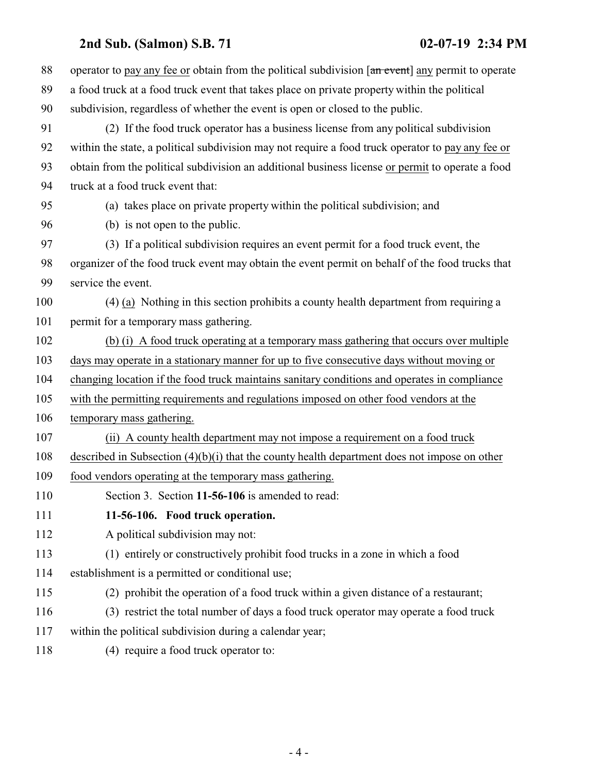### **2nd Sub. (Salmon) S.B. 71 02-07-19 2:34 PM**

<span id="page-3-0"></span>

| 88  | operator to pay any fee or obtain from the political subdivision [an event] any permit to operate |
|-----|---------------------------------------------------------------------------------------------------|
| 89  | a food truck at a food truck event that takes place on private property within the political      |
| 90  | subdivision, regardless of whether the event is open or closed to the public.                     |
| 91  | (2) If the food truck operator has a business license from any political subdivision              |
| 92  | within the state, a political subdivision may not require a food truck operator to pay any fee or |
| 93  | obtain from the political subdivision an additional business license or permit to operate a food  |
| 94  | truck at a food truck event that:                                                                 |
| 95  | (a) takes place on private property within the political subdivision; and                         |
| 96  | (b) is not open to the public.                                                                    |
| 97  | (3) If a political subdivision requires an event permit for a food truck event, the               |
| 98  | organizer of the food truck event may obtain the event permit on behalf of the food trucks that   |
| 99  | service the event.                                                                                |
| 100 | (4) (a) Nothing in this section prohibits a county health department from requiring a             |
| 101 | permit for a temporary mass gathering.                                                            |
| 102 | (b) (i) A food truck operating at a temporary mass gathering that occurs over multiple            |
| 103 | days may operate in a stationary manner for up to five consecutive days without moving or         |
| 104 | changing location if the food truck maintains sanitary conditions and operates in compliance      |
| 105 | with the permitting requirements and regulations imposed on other food vendors at the             |
| 106 | temporary mass gathering.                                                                         |
| 107 | (ii) A county health department may not impose a requirement on a food truck                      |
| 108 | described in Subsection $(4)(b)(i)$ that the county health department does not impose on other    |
| 109 | food vendors operating at the temporary mass gathering.                                           |
| 110 | Section 3. Section 11-56-106 is amended to read:                                                  |
| 111 | 11-56-106. Food truck operation.                                                                  |
| 112 | A political subdivision may not:                                                                  |
| 113 | (1) entirely or constructively prohibit food trucks in a zone in which a food                     |
| 114 | establishment is a permitted or conditional use;                                                  |
| 115 | (2) prohibit the operation of a food truck within a given distance of a restaurant;               |
| 116 | (3) restrict the total number of days a food truck operator may operate a food truck              |
| 117 | within the political subdivision during a calendar year;                                          |
| 118 | (4) require a food truck operator to:                                                             |